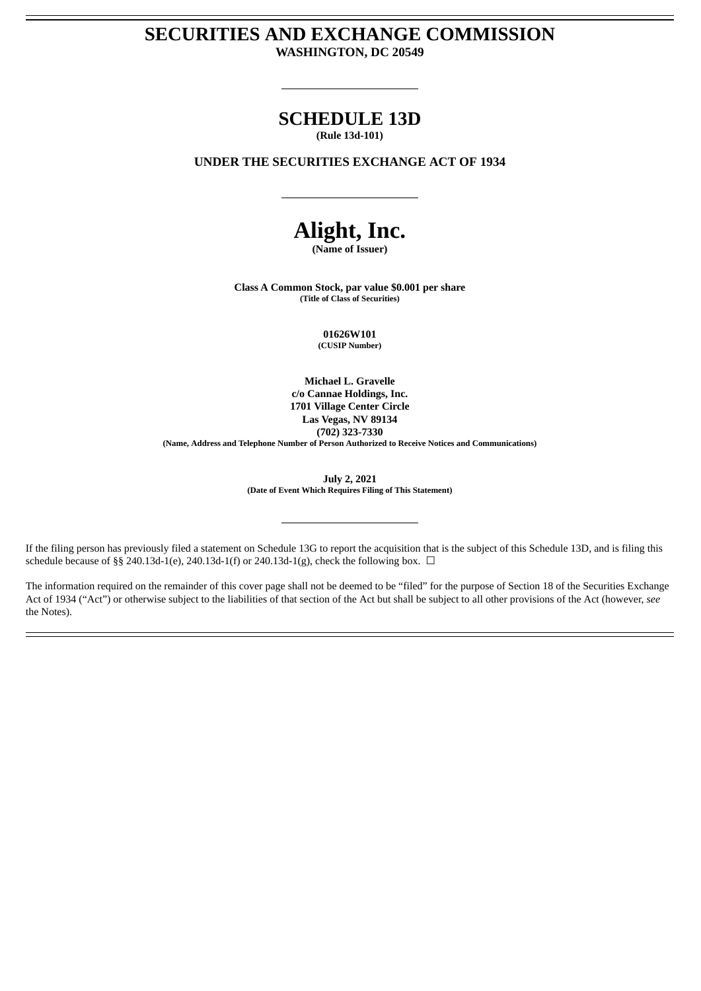# **SECURITIES AND EXCHANGE COMMISSION WASHINGTON, DC 20549**

# **SCHEDULE 13D**

**(Rule 13d-101)**

# **UNDER THE SECURITIES EXCHANGE ACT OF 1934**

# **Alight, Inc.**

**(Name of Issuer)**

**Class A Common Stock, par value \$0.001 per share (Title of Class of Securities)**

> **01626W101 (CUSIP Number)**

**Michael L. Gravelle c/o Cannae Holdings, Inc. 1701 Village Center Circle Las Vegas, NV 89134 (702) 323-7330 (Name, Address and Telephone Number of Person Authorized to Receive Notices and Communications)**

> **July 2, 2021 (Date of Event Which Requires Filing of This Statement)**

If the filing person has previously filed a statement on Schedule 13G to report the acquisition that is the subject of this Schedule 13D, and is filing this schedule because of §§ 240.13d-1(e), 240.13d-1(f) or 240.13d-1(g), check the following box.  $\Box$ 

The information required on the remainder of this cover page shall not be deemed to be "filed" for the purpose of Section 18 of the Securities Exchange Act of 1934 ("Act") or otherwise subject to the liabilities of that section of the Act but shall be subject to all other provisions of the Act (however, *see* the Notes).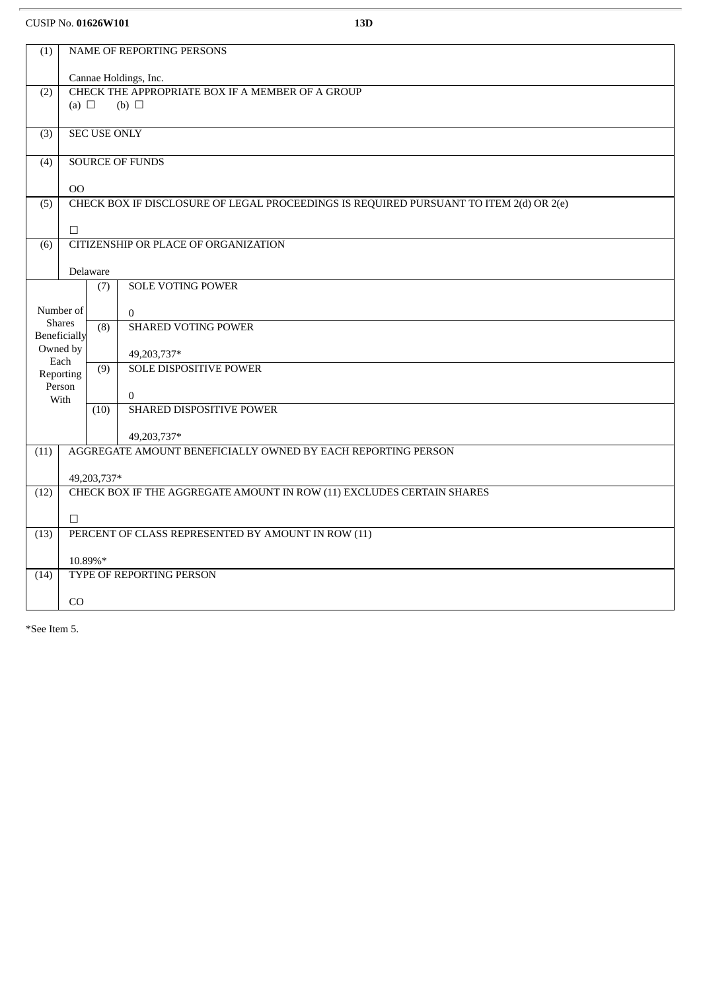CUSIP No. **01626W101 13D**

| (1)              |                  |                     | NAME OF REPORTING PERSONS                                                              |
|------------------|------------------|---------------------|----------------------------------------------------------------------------------------|
|                  |                  |                     | Cannae Holdings, Inc.                                                                  |
| (2)              |                  |                     | CHECK THE APPROPRIATE BOX IF A MEMBER OF A GROUP                                       |
|                  | (a) $\Box$       |                     | $(b)$ $\square$                                                                        |
| (3)              |                  | <b>SEC USE ONLY</b> |                                                                                        |
| (4)              |                  |                     | <b>SOURCE OF FUNDS</b>                                                                 |
|                  |                  |                     |                                                                                        |
|                  | <b>OO</b>        |                     |                                                                                        |
| (5)              |                  |                     | CHECK BOX IF DISCLOSURE OF LEGAL PROCEEDINGS IS REQUIRED PURSUANT TO ITEM 2(d) OR 2(e) |
|                  | $\Box$           |                     |                                                                                        |
| $\overline{(6)}$ |                  |                     | CITIZENSHIP OR PLACE OF ORGANIZATION                                                   |
|                  |                  | Delaware            |                                                                                        |
|                  |                  | (7)                 | <b>SOLE VOTING POWER</b>                                                               |
|                  | Number of        |                     |                                                                                        |
|                  | <b>Shares</b>    | (8)                 | $\mathbf{0}$<br><b>SHARED VOTING POWER</b>                                             |
|                  | Beneficially     |                     |                                                                                        |
|                  | Owned by<br>Each |                     | 49,203,737*                                                                            |
|                  | Reporting        | $\overline{(9)}$    | <b>SOLE DISPOSITIVE POWER</b>                                                          |
|                  | Person<br>With   |                     | $\overline{0}$                                                                         |
|                  |                  | (10)                | SHARED DISPOSITIVE POWER                                                               |
|                  |                  |                     | 49,203,737*                                                                            |
| (11)             |                  |                     | AGGREGATE AMOUNT BENEFICIALLY OWNED BY EACH REPORTING PERSON                           |
|                  |                  | 49,203,737*         |                                                                                        |
| (12)             |                  |                     | CHECK BOX IF THE AGGREGATE AMOUNT IN ROW (11) EXCLUDES CERTAIN SHARES                  |
|                  |                  |                     |                                                                                        |
|                  | $\Box$           |                     |                                                                                        |
| (13)             |                  |                     | PERCENT OF CLASS REPRESENTED BY AMOUNT IN ROW (11)                                     |
|                  | 10.89%*          |                     |                                                                                        |
| (14)             |                  |                     | TYPE OF REPORTING PERSON                                                               |
|                  | CO               |                     |                                                                                        |

\*See Item 5.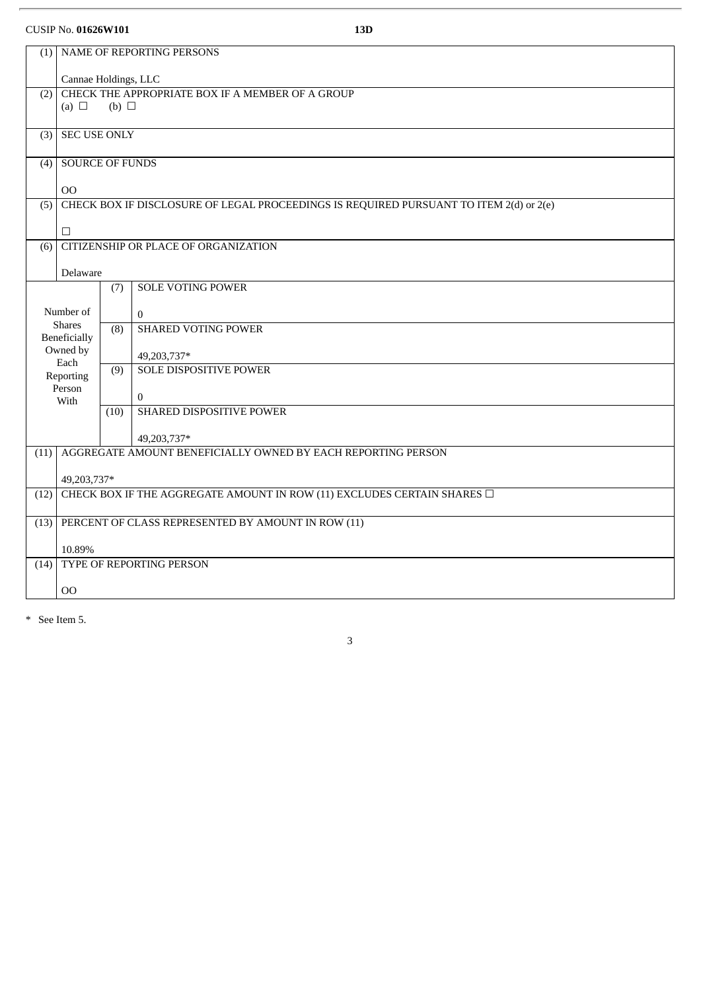## CUSIP No. **01626W101 13D**

| (1)              |                                      |                 | NAME OF REPORTING PERSONS                                                              |
|------------------|--------------------------------------|-----------------|----------------------------------------------------------------------------------------|
|                  | Cannae Holdings, LLC                 |                 |                                                                                        |
| (2)              |                                      |                 | CHECK THE APPROPRIATE BOX IF A MEMBER OF A GROUP                                       |
|                  | (a) $\Box$                           | $(b)$ $\square$ |                                                                                        |
| (3)              | <b>SEC USE ONLY</b>                  |                 |                                                                                        |
| (4)              | <b>SOURCE OF FUNDS</b>               |                 |                                                                                        |
|                  | 00                                   |                 |                                                                                        |
| (5)              |                                      |                 | CHECK BOX IF DISCLOSURE OF LEGAL PROCEEDINGS IS REQUIRED PURSUANT TO ITEM 2(d) or 2(e) |
|                  |                                      |                 |                                                                                        |
|                  | $\Box$                               |                 |                                                                                        |
| $\overline{(6)}$ |                                      |                 | CITIZENSHIP OR PLACE OF ORGANIZATION                                                   |
|                  | Delaware                             |                 |                                                                                        |
|                  |                                      | (7)             | <b>SOLE VOTING POWER</b>                                                               |
|                  | Number of                            |                 | $\overline{0}$                                                                         |
|                  | <b>Shares</b><br><b>Beneficially</b> | (8)             | <b>SHARED VOTING POWER</b>                                                             |
|                  | Owned by                             |                 | 49,203,737*                                                                            |
|                  | Each<br>Reporting                    | (9)             | <b>SOLE DISPOSITIVE POWER</b>                                                          |
|                  | Person<br>With                       |                 | $\overline{0}$                                                                         |
|                  |                                      | (10)            | SHARED DISPOSITIVE POWER                                                               |
|                  |                                      |                 | 49,203,737*                                                                            |
| (11)             |                                      |                 | AGGREGATE AMOUNT BENEFICIALLY OWNED BY EACH REPORTING PERSON                           |
|                  | 49,203,737*                          |                 |                                                                                        |
| (12)             |                                      |                 | CHECK BOX IF THE AGGREGATE AMOUNT IN ROW (11) EXCLUDES CERTAIN SHARES $\Box$           |
|                  |                                      |                 |                                                                                        |
| (13)             |                                      |                 | PERCENT OF CLASS REPRESENTED BY AMOUNT IN ROW (11)                                     |
|                  | 10.89%                               |                 |                                                                                        |
| (14)             |                                      |                 | TYPE OF REPORTING PERSON                                                               |
|                  | 00                                   |                 |                                                                                        |
|                  |                                      |                 |                                                                                        |

3

\* See Item 5.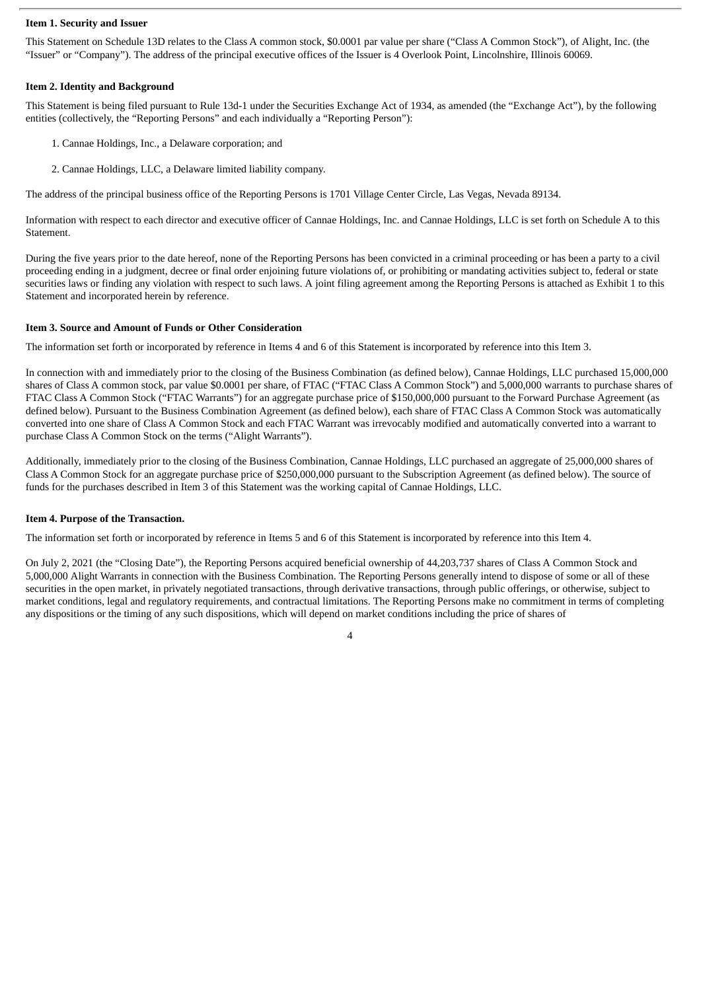#### **Item 1. Security and Issuer**

This Statement on Schedule 13D relates to the Class A common stock, \$0.0001 par value per share ("Class A Common Stock"), of Alight, Inc. (the "Issuer" or "Company"). The address of the principal executive offices of the Issuer is 4 Overlook Point, Lincolnshire, Illinois 60069.

#### **Item 2. Identity and Background**

This Statement is being filed pursuant to Rule 13d-1 under the Securities Exchange Act of 1934, as amended (the "Exchange Act"), by the following entities (collectively, the "Reporting Persons" and each individually a "Reporting Person"):

- 1. Cannae Holdings, Inc., a Delaware corporation; and
- 2. Cannae Holdings, LLC, a Delaware limited liability company.

The address of the principal business office of the Reporting Persons is 1701 Village Center Circle, Las Vegas, Nevada 89134.

Information with respect to each director and executive officer of Cannae Holdings, Inc. and Cannae Holdings, LLC is set forth on Schedule A to this Statement.

During the five years prior to the date hereof, none of the Reporting Persons has been convicted in a criminal proceeding or has been a party to a civil proceeding ending in a judgment, decree or final order enjoining future violations of, or prohibiting or mandating activities subject to, federal or state securities laws or finding any violation with respect to such laws. A joint filing agreement among the Reporting Persons is attached as Exhibit 1 to this Statement and incorporated herein by reference.

#### **Item 3. Source and Amount of Funds or Other Consideration**

The information set forth or incorporated by reference in Items 4 and 6 of this Statement is incorporated by reference into this Item 3.

In connection with and immediately prior to the closing of the Business Combination (as defined below), Cannae Holdings, LLC purchased 15,000,000 shares of Class A common stock, par value \$0.0001 per share, of FTAC ("FTAC Class A Common Stock") and 5,000,000 warrants to purchase shares of FTAC Class A Common Stock ("FTAC Warrants") for an aggregate purchase price of \$150,000,000 pursuant to the Forward Purchase Agreement (as defined below). Pursuant to the Business Combination Agreement (as defined below), each share of FTAC Class A Common Stock was automatically converted into one share of Class A Common Stock and each FTAC Warrant was irrevocably modified and automatically converted into a warrant to purchase Class A Common Stock on the terms ("Alight Warrants").

Additionally, immediately prior to the closing of the Business Combination, Cannae Holdings, LLC purchased an aggregate of 25,000,000 shares of Class A Common Stock for an aggregate purchase price of \$250,000,000 pursuant to the Subscription Agreement (as defined below). The source of funds for the purchases described in Item 3 of this Statement was the working capital of Cannae Holdings, LLC.

#### **Item 4. Purpose of the Transaction.**

The information set forth or incorporated by reference in Items 5 and 6 of this Statement is incorporated by reference into this Item 4.

On July 2, 2021 (the "Closing Date"), the Reporting Persons acquired beneficial ownership of 44,203,737 shares of Class A Common Stock and 5,000,000 Alight Warrants in connection with the Business Combination. The Reporting Persons generally intend to dispose of some or all of these securities in the open market, in privately negotiated transactions, through derivative transactions, through public offerings, or otherwise, subject to market conditions, legal and regulatory requirements, and contractual limitations. The Reporting Persons make no commitment in terms of completing any dispositions or the timing of any such dispositions, which will depend on market conditions including the price of shares of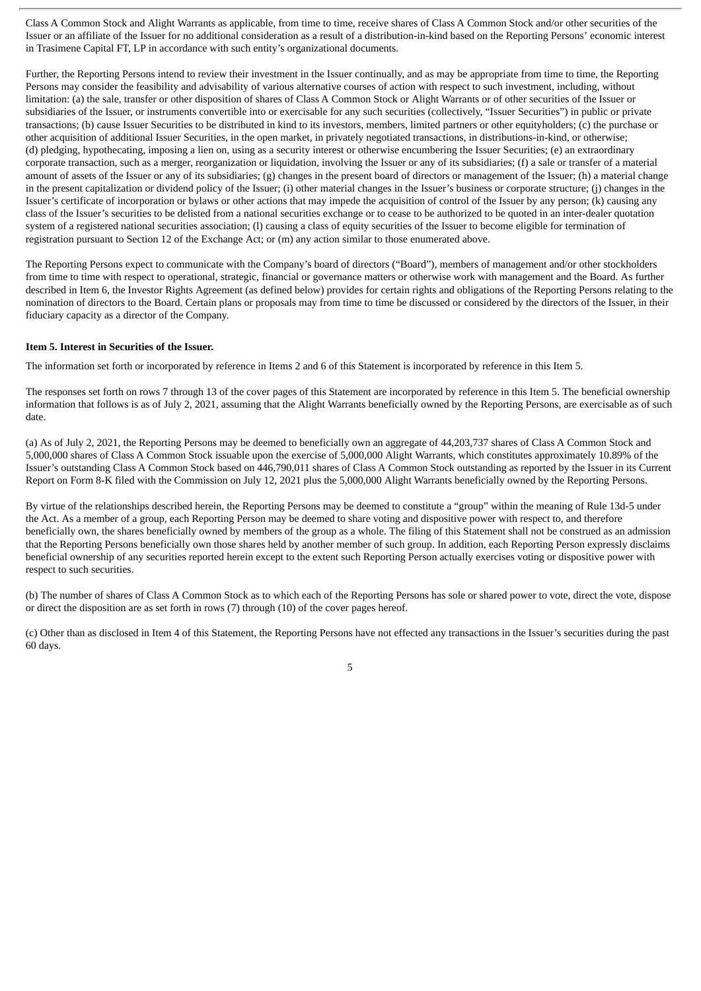Class A Common Stock and Alight Warrants as applicable, from time to time, receive shares of Class A Common Stock and/or other securities of the Issuer or an affiliate of the Issuer for no additional consideration as a result of a distribution-in-kind based on the Reporting Persons' economic interest in Trasimene Capital FT, LP in accordance with such entity's organizational documents.

Further, the Reporting Persons intend to review their investment in the Issuer continually, and as may be appropriate from time to time, the Reporting Persons may consider the feasibility and advisability of various alternative courses of action with respect to such investment, including, without limitation: (a) the sale, transfer or other disposition of shares of Class A Common Stock or Alight Warrants or of other securities of the Issuer or subsidiaries of the Issuer, or instruments convertible into or exercisable for any such securities (collectively, "Issuer Securities") in public or private transactions; (b) cause Issuer Securities to be distributed in kind to its investors, members, limited partners or other equityholders; (c) the purchase or other acquisition of additional Issuer Securities, in the open market, in privately negotiated transactions, in distributions-in-kind, or otherwise; (d) pledging, hypothecating, imposing a lien on, using as a security interest or otherwise encumbering the Issuer Securities; (e) an extraordinary corporate transaction, such as a merger, reorganization or liquidation, involving the Issuer or any of its subsidiaries; (f) a sale or transfer of a material amount of assets of the Issuer or any of its subsidiaries; (g) changes in the present board of directors or management of the Issuer; (h) a material change in the present capitalization or dividend policy of the Issuer; (i) other material changes in the Issuer's business or corporate structure; (j) changes in the Issuer's certificate of incorporation or bylaws or other actions that may impede the acquisition of control of the Issuer by any person; (k) causing any class of the Issuer's securities to be delisted from a national securities exchange or to cease to be authorized to be quoted in an inter-dealer quotation system of a registered national securities association; (l) causing a class of equity securities of the Issuer to become eligible for termination of registration pursuant to Section 12 of the Exchange Act; or (m) any action similar to those enumerated above.

The Reporting Persons expect to communicate with the Company's board of directors ("Board"), members of management and/or other stockholders from time to time with respect to operational, strategic, financial or governance matters or otherwise work with management and the Board. As further described in Item 6, the Investor Rights Agreement (as defined below) provides for certain rights and obligations of the Reporting Persons relating to the nomination of directors to the Board. Certain plans or proposals may from time to time be discussed or considered by the directors of the Issuer, in their fiduciary capacity as a director of the Company.

#### **Item 5. Interest in Securities of the Issuer.**

The information set forth or incorporated by reference in Items 2 and 6 of this Statement is incorporated by reference in this Item 5.

The responses set forth on rows 7 through 13 of the cover pages of this Statement are incorporated by reference in this Item 5. The beneficial ownership information that follows is as of July 2, 2021, assuming that the Alight Warrants beneficially owned by the Reporting Persons, are exercisable as of such date.

(a) As of July 2, 2021, the Reporting Persons may be deemed to beneficially own an aggregate of 44,203,737 shares of Class A Common Stock and 5,000,000 shares of Class A Common Stock issuable upon the exercise of 5,000,000 Alight Warrants, which constitutes approximately 10.89% of the Issuer's outstanding Class A Common Stock based on 446,790,011 shares of Class A Common Stock outstanding as reported by the Issuer in its Current Report on Form 8-K filed with the Commission on July 12, 2021 plus the 5,000,000 Alight Warrants beneficially owned by the Reporting Persons.

By virtue of the relationships described herein, the Reporting Persons may be deemed to constitute a "group" within the meaning of Rule 13d-5 under the Act. As a member of a group, each Reporting Person may be deemed to share voting and dispositive power with respect to, and therefore beneficially own, the shares beneficially owned by members of the group as a whole. The filing of this Statement shall not be construed as an admission that the Reporting Persons beneficially own those shares held by another member of such group. In addition, each Reporting Person expressly disclaims beneficial ownership of any securities reported herein except to the extent such Reporting Person actually exercises voting or dispositive power with respect to such securities.

(b) The number of shares of Class A Common Stock as to which each of the Reporting Persons has sole or shared power to vote, direct the vote, dispose or direct the disposition are as set forth in rows (7) through (10) of the cover pages hereof.

(c) Other than as disclosed in Item 4 of this Statement, the Reporting Persons have not effected any transactions in the Issuer's securities during the past 60 days.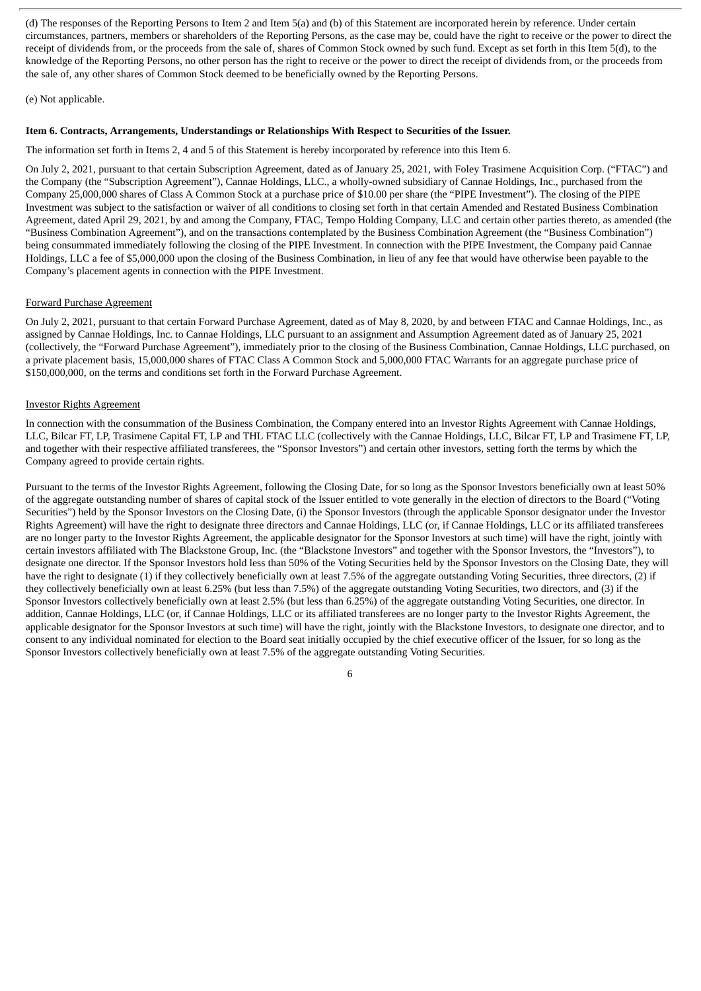(d) The responses of the Reporting Persons to Item 2 and Item 5(a) and (b) of this Statement are incorporated herein by reference. Under certain circumstances, partners, members or shareholders of the Reporting Persons, as the case may be, could have the right to receive or the power to direct the receipt of dividends from, or the proceeds from the sale of, shares of Common Stock owned by such fund. Except as set forth in this Item 5(d), to the knowledge of the Reporting Persons, no other person has the right to receive or the power to direct the receipt of dividends from, or the proceeds from the sale of, any other shares of Common Stock deemed to be beneficially owned by the Reporting Persons.

#### (e) Not applicable.

#### **Item 6. Contracts, Arrangements, Understandings or Relationships With Respect to Securities of the Issuer.**

The information set forth in Items 2, 4 and 5 of this Statement is hereby incorporated by reference into this Item 6.

On July 2, 2021, pursuant to that certain Subscription Agreement, dated as of January 25, 2021, with Foley Trasimene Acquisition Corp. ("FTAC") and the Company (the "Subscription Agreement"), Cannae Holdings, LLC., a wholly-owned subsidiary of Cannae Holdings, Inc., purchased from the Company 25,000,000 shares of Class A Common Stock at a purchase price of \$10.00 per share (the "PIPE Investment"). The closing of the PIPE Investment was subject to the satisfaction or waiver of all conditions to closing set forth in that certain Amended and Restated Business Combination Agreement, dated April 29, 2021, by and among the Company, FTAC, Tempo Holding Company, LLC and certain other parties thereto, as amended (the "Business Combination Agreement"), and on the transactions contemplated by the Business Combination Agreement (the "Business Combination") being consummated immediately following the closing of the PIPE Investment. In connection with the PIPE Investment, the Company paid Cannae Holdings, LLC a fee of \$5,000,000 upon the closing of the Business Combination, in lieu of any fee that would have otherwise been payable to the Company's placement agents in connection with the PIPE Investment.

#### Forward Purchase Agreement

On July 2, 2021, pursuant to that certain Forward Purchase Agreement, dated as of May 8, 2020, by and between FTAC and Cannae Holdings, Inc., as assigned by Cannae Holdings, Inc. to Cannae Holdings, LLC pursuant to an assignment and Assumption Agreement dated as of January 25, 2021 (collectively, the "Forward Purchase Agreement"), immediately prior to the closing of the Business Combination, Cannae Holdings, LLC purchased, on a private placement basis, 15,000,000 shares of FTAC Class A Common Stock and 5,000,000 FTAC Warrants for an aggregate purchase price of \$150,000,000, on the terms and conditions set forth in the Forward Purchase Agreement.

#### Investor Rights Agreement

In connection with the consummation of the Business Combination, the Company entered into an Investor Rights Agreement with Cannae Holdings, LLC, Bilcar FT, LP, Trasimene Capital FT, LP and THL FTAC LLC (collectively with the Cannae Holdings, LLC, Bilcar FT, LP and Trasimene FT, LP, and together with their respective affiliated transferees, the "Sponsor Investors") and certain other investors, setting forth the terms by which the Company agreed to provide certain rights.

Pursuant to the terms of the Investor Rights Agreement, following the Closing Date, for so long as the Sponsor Investors beneficially own at least 50% of the aggregate outstanding number of shares of capital stock of the Issuer entitled to vote generally in the election of directors to the Board ("Voting Securities") held by the Sponsor Investors on the Closing Date, (i) the Sponsor Investors (through the applicable Sponsor designator under the Investor Rights Agreement) will have the right to designate three directors and Cannae Holdings, LLC (or, if Cannae Holdings, LLC or its affiliated transferees are no longer party to the Investor Rights Agreement, the applicable designator for the Sponsor Investors at such time) will have the right, jointly with certain investors affiliated with The Blackstone Group, Inc. (the "Blackstone Investors" and together with the Sponsor Investors, the "Investors"), to designate one director. If the Sponsor Investors hold less than 50% of the Voting Securities held by the Sponsor Investors on the Closing Date, they will have the right to designate (1) if they collectively beneficially own at least 7.5% of the aggregate outstanding Voting Securities, three directors, (2) if they collectively beneficially own at least 6.25% (but less than 7.5%) of the aggregate outstanding Voting Securities, two directors, and (3) if the Sponsor Investors collectively beneficially own at least 2.5% (but less than 6.25%) of the aggregate outstanding Voting Securities, one director. In addition, Cannae Holdings, LLC (or, if Cannae Holdings, LLC or its affiliated transferees are no longer party to the Investor Rights Agreement, the applicable designator for the Sponsor Investors at such time) will have the right, jointly with the Blackstone Investors, to designate one director, and to consent to any individual nominated for election to the Board seat initially occupied by the chief executive officer of the Issuer, for so long as the Sponsor Investors collectively beneficially own at least 7.5% of the aggregate outstanding Voting Securities.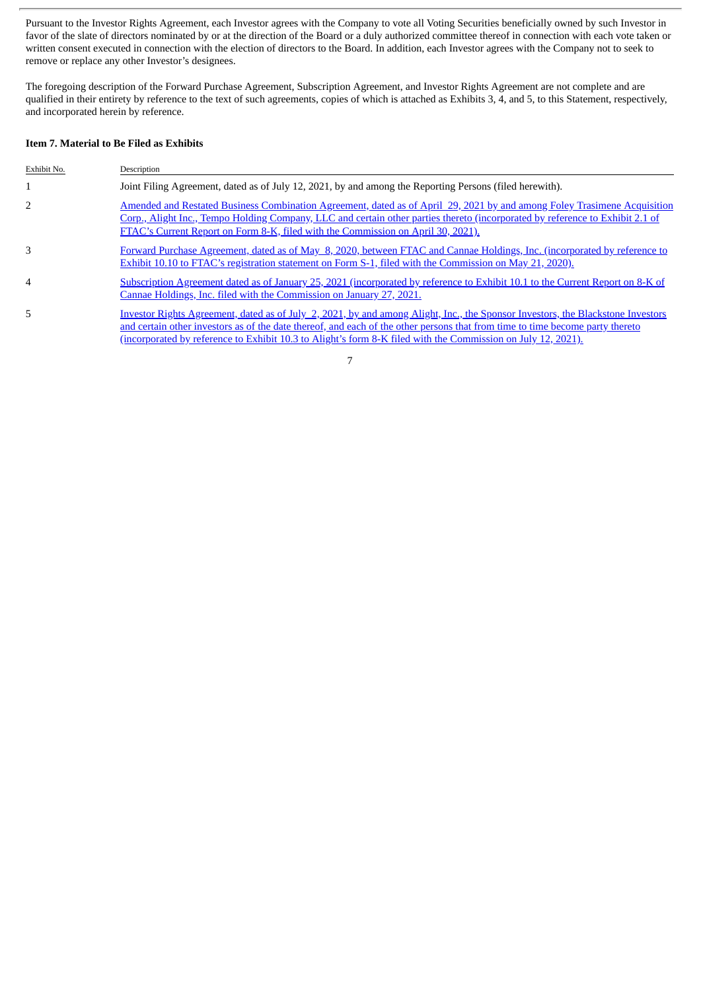Pursuant to the Investor Rights Agreement, each Investor agrees with the Company to vote all Voting Securities beneficially owned by such Investor in favor of the slate of directors nominated by or at the direction of the Board or a duly authorized committee thereof in connection with each vote taken or written consent executed in connection with the election of directors to the Board. In addition, each Investor agrees with the Company not to seek to remove or replace any other Investor's designees.

The foregoing description of the Forward Purchase Agreement, Subscription Agreement, and Investor Rights Agreement are not complete and are qualified in their entirety by reference to the text of such agreements, copies of which is attached as Exhibits 3, 4, and 5, to this Statement, respectively, and incorporated herein by reference.

#### **Item 7. Material to Be Filed as Exhibits**

| Exhibit No.    | Description                                                                                                                                                                                                                                                                                                                                                                             |
|----------------|-----------------------------------------------------------------------------------------------------------------------------------------------------------------------------------------------------------------------------------------------------------------------------------------------------------------------------------------------------------------------------------------|
|                | Joint Filing Agreement, dated as of July 12, 2021, by and among the Reporting Persons (filed herewith).                                                                                                                                                                                                                                                                                 |
| 2              | Amended and Restated Business Combination Agreement, dated as of April 29, 2021 by and among Foley Trasimene Acquisition<br>Corp., Alight Inc., Tempo Holding Company, LLC and certain other parties thereto (incorporated by reference to Exhibit 2.1 of<br>FTAC's Current Report on Form 8-K, filed with the Commission on April 30, 2021).                                           |
| 3              | Forward Purchase Agreement, dated as of May 8, 2020, between FTAC and Cannae Holdings, Inc. (incorporated by reference to<br>Exhibit 10.10 to FTAC's registration statement on Form S-1, filed with the Commission on May 21, 2020).                                                                                                                                                    |
| $\overline{4}$ | Subscription Agreement dated as of January 25, 2021 (incorporated by reference to Exhibit 10.1 to the Current Report on 8-K of<br>Cannae Holdings, Inc. filed with the Commission on January 27, 2021.                                                                                                                                                                                  |
| 5.             | Investor Rights Agreement, dated as of July 2, 2021, by and among Alight, Inc., the Sponsor Investors, the Blackstone Investors<br>and certain other investors as of the date thereof, and each of the other persons that from time to time become party thereto<br><u>(incorporated by reference to Exhibit 10.3 to Alight's form 8-K filed with the Commission on July 12, 2021).</u> |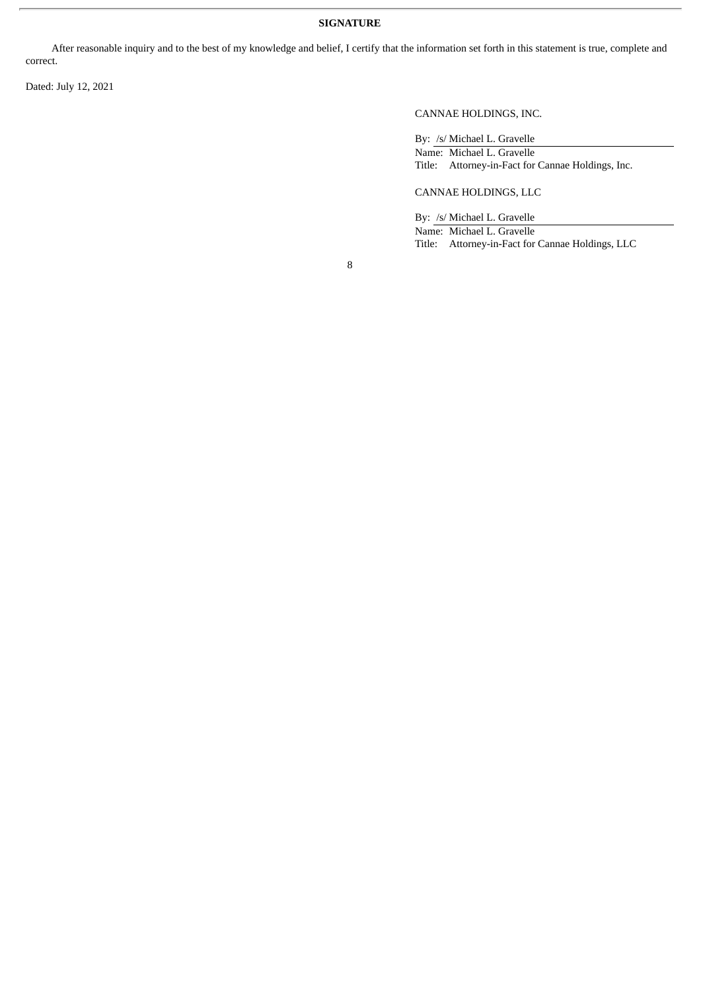## **SIGNATURE**

After reasonable inquiry and to the best of my knowledge and belief, I certify that the information set forth in this statement is true, complete and correct.

Dated: July 12, 2021

CANNAE HOLDINGS, INC.

By: /s/ Michael L. Gravelle Name: Michael L. Gravelle Title: Attorney-in-Fact for Cannae Holdings, Inc.

## CANNAE HOLDINGS, LLC

By: /s/ Michael L. Gravelle

Name: Michael L. Gravelle Title: Attorney-in-Fact for Cannae Holdings, LLC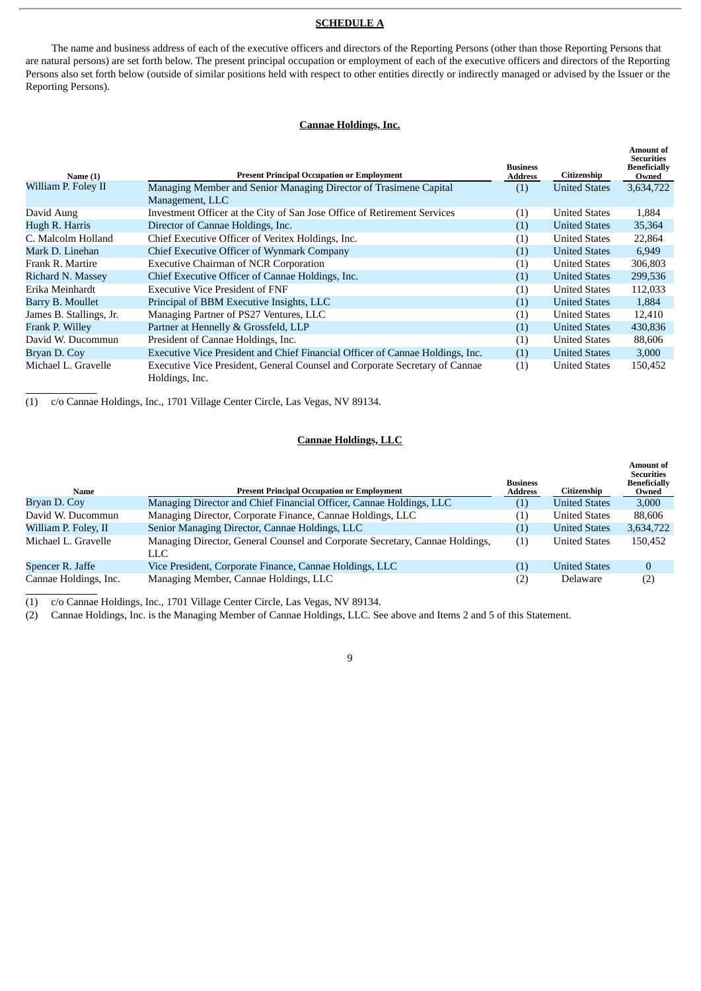#### **SCHEDULE A**

The name and business address of each of the executive officers and directors of the Reporting Persons (other than those Reporting Persons that are natural persons) are set forth below. The present principal occupation or employment of each of the executive officers and directors of the Reporting Persons also set forth below (outside of similar positions held with respect to other entities directly or indirectly managed or advised by the Issuer or the Reporting Persons).

#### **Cannae Holdings, Inc.**

| Name $(1)$               | <b>Present Principal Occupation or Employment</b>                                             | <b>Business</b><br><b>Address</b> | Citizenship          | Amount of<br><b>Securities</b><br><b>Beneficially</b><br>Owned |
|--------------------------|-----------------------------------------------------------------------------------------------|-----------------------------------|----------------------|----------------------------------------------------------------|
| William P. Foley II      | Managing Member and Senior Managing Director of Trasimene Capital                             | (1)                               | <b>United States</b> | 3,634,722                                                      |
|                          | Management, LLC                                                                               |                                   |                      |                                                                |
| David Aung               | Investment Officer at the City of San Jose Office of Retirement Services                      | (1)                               | <b>United States</b> | 1,884                                                          |
| Hugh R. Harris           | Director of Cannae Holdings, Inc.                                                             | (1)                               | <b>United States</b> | 35,364                                                         |
| C. Malcolm Holland       | Chief Executive Officer of Veritex Holdings, Inc.                                             | (1)                               | <b>United States</b> | 22,864                                                         |
| Mark D. Linehan          | Chief Executive Officer of Wynmark Company                                                    | (1)                               | <b>United States</b> | 6,949                                                          |
| Frank R. Martire         | <b>Executive Chairman of NCR Corporation</b>                                                  | (1)                               | <b>United States</b> | 306,803                                                        |
| <b>Richard N. Massey</b> | Chief Executive Officer of Cannae Holdings, Inc.                                              | (1)                               | <b>United States</b> | 299,536                                                        |
| Erika Meinhardt          | <b>Executive Vice President of FNF</b>                                                        | (1)                               | <b>United States</b> | 112,033                                                        |
| Barry B. Moullet         | Principal of BBM Executive Insights, LLC                                                      | (1)                               | <b>United States</b> | 1,884                                                          |
| James B. Stallings, Jr.  | Managing Partner of PS27 Ventures, LLC                                                        | (1)                               | <b>United States</b> | 12,410                                                         |
| Frank P. Willey          | Partner at Hennelly & Grossfeld, LLP                                                          | (1)                               | <b>United States</b> | 430,836                                                        |
| David W. Ducommun        | President of Cannae Holdings, Inc.                                                            | (1)                               | <b>United States</b> | 88,606                                                         |
| Bryan D. Coy             | Executive Vice President and Chief Financial Officer of Cannae Holdings, Inc.                 | (1)                               | <b>United States</b> | 3,000                                                          |
| Michael L. Gravelle      | Executive Vice President, General Counsel and Corporate Secretary of Cannae<br>Holdings, Inc. | (1)                               | <b>United States</b> | 150,452                                                        |

(1) c/o Cannae Holdings, Inc., 1701 Village Center Circle, Las Vegas, NV 89134.

#### **Cannae Holdings, LLC**

| Name                  | <b>Present Principal Occupation or Employment</b>                                    | <b>Business</b><br><b>Address</b> | Citizenship          | Amount of<br><b>Securities</b><br><b>Beneficially</b><br>Owned |
|-----------------------|--------------------------------------------------------------------------------------|-----------------------------------|----------------------|----------------------------------------------------------------|
| Bryan D. Coy          | Managing Director and Chief Financial Officer, Cannae Holdings, LLC                  | (1)                               | <b>United States</b> | 3,000                                                          |
| David W. Ducommun     | Managing Director, Corporate Finance, Cannae Holdings, LLC                           | $\left( 1\right)$                 | <b>United States</b> | 88.606                                                         |
| William P. Foley, II  | Senior Managing Director, Cannae Holdings, LLC                                       | (1)                               | <b>United States</b> | 3,634,722                                                      |
| Michael L. Gravelle   | Managing Director, General Counsel and Corporate Secretary, Cannae Holdings,<br>LLC. | $\left( 1\right)$                 | <b>United States</b> | 150,452                                                        |
| Spencer R. Jaffe      | Vice President, Corporate Finance, Cannae Holdings, LLC                              | (1)                               | <b>United States</b> | $\Omega$                                                       |
| Cannae Holdings, Inc. | Managing Member, Cannae Holdings, LLC                                                | (2)                               | Delaware             | (2)                                                            |

(1) c/o Cannae Holdings, Inc., 1701 Village Center Circle, Las Vegas, NV 89134.

(2) Cannae Holdings, Inc. is the Managing Member of Cannae Holdings, LLC. See above and Items 2 and 5 of this Statement.